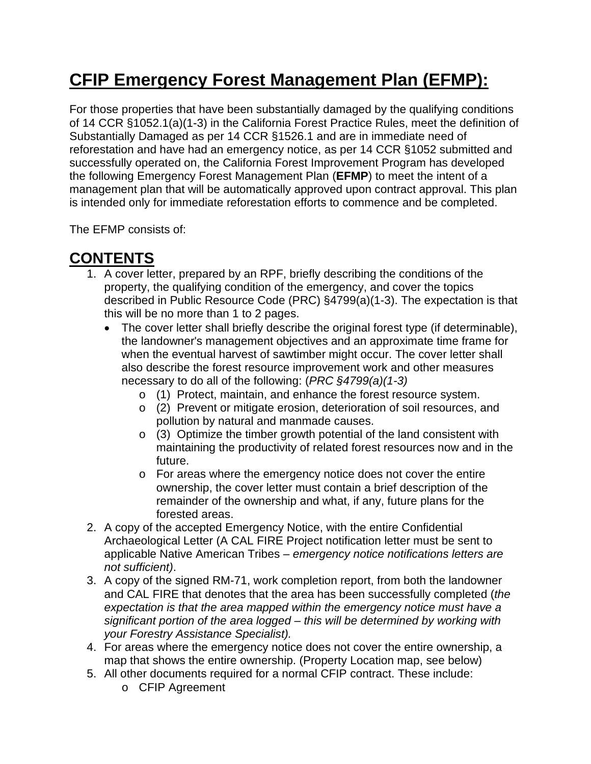# **CFIP Emergency Forest Management Plan (EFMP):**

For those properties that have been substantially damaged by the qualifying conditions of 14 CCR §1052.1(a)(1-3) in the California Forest Practice Rules, meet the definition of Substantially Damaged as per 14 CCR §1526.1 and are in immediate need of reforestation and have had an emergency notice, as per 14 CCR §1052 submitted and successfully operated on, the California Forest Improvement Program has developed the following Emergency Forest Management Plan (**EFMP**) to meet the intent of a management plan that will be automatically approved upon contract approval. This plan is intended only for immediate reforestation efforts to commence and be completed.

The EFMP consists of:

# **CONTENTS**

- 1. A cover letter, prepared by an RPF, briefly describing the conditions of the property, the qualifying condition of the emergency, and cover the topics described in Public Resource Code (PRC) §4799(a)(1-3). The expectation is that this will be no more than 1 to 2 pages.
	- The cover letter shall briefly describe the original forest type (if determinable), the landowner's management objectives and an approximate time frame for when the eventual harvest of sawtimber might occur. The cover letter shall also describe the forest resource improvement work and other measures necessary to do all of the following: (*PRC §4799(a)(1-3)*
		- o (1) Protect, maintain, and enhance the forest resource system.
		- o (2) Prevent or mitigate erosion, deterioration of soil resources, and pollution by natural and manmade causes.
		- o (3) Optimize the timber growth potential of the land consistent with maintaining the productivity of related forest resources now and in the future.
		- o For areas where the emergency notice does not cover the entire ownership, the cover letter must contain a brief description of the remainder of the ownership and what, if any, future plans for the forested areas.
- 2. A copy of the accepted Emergency Notice, with the entire Confidential Archaeological Letter (A CAL FIRE Project notification letter must be sent to applicable Native American Tribes *– emergency notice notifications letters are not sufficient)*.
- 3. A copy of the signed RM-71, work completion report, from both the landowner and CAL FIRE that denotes that the area has been successfully completed (*the expectation is that the area mapped within the emergency notice must have a significant portion of the area logged – this will be determined by working with your Forestry Assistance Specialist).*
- 4. For areas where the emergency notice does not cover the entire ownership, a map that shows the entire ownership. (Property Location map, see below)
- 5. All other documents required for a normal CFIP contract. These include:
	- o CFIP Agreement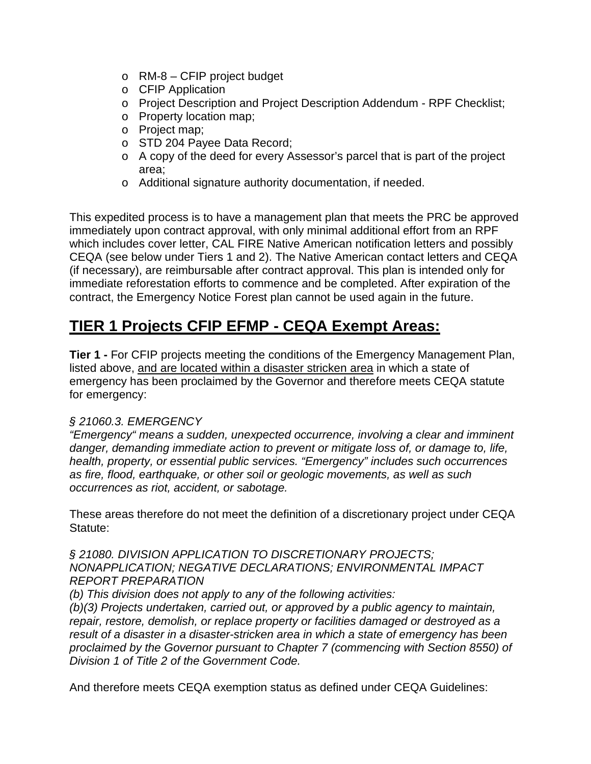- o RM-8 CFIP project budget
- o CFIP Application
- o Project Description and Project Description Addendum RPF Checklist;
- o Property location map;
- o Project map;
- o STD 204 Payee Data Record;
- o A copy of the deed for every Assessor's parcel that is part of the project area;
- o Additional signature authority documentation, if needed.

This expedited process is to have a management plan that meets the PRC be approved immediately upon contract approval, with only minimal additional effort from an RPF which includes cover letter, CAL FIRE Native American notification letters and possibly CEQA (see below under Tiers 1 and 2). The Native American contact letters and CEQA (if necessary), are reimbursable after contract approval. This plan is intended only for immediate reforestation efforts to commence and be completed. After expiration of the contract, the Emergency Notice Forest plan cannot be used again in the future.

### **TIER 1 Projects CFIP EFMP - CEQA Exempt Areas:**

**Tier 1 -** For CFIP projects meeting the conditions of the Emergency Management Plan, listed above, and are located within a disaster stricken area in which a state of emergency has been proclaimed by the Governor and therefore meets CEQA statute for emergency:

#### *§ 21060.3. EMERGENCY*

*"Emergency" means a sudden, unexpected occurrence, involving a clear and imminent danger, demanding immediate action to prevent or mitigate loss of, or damage to, life, health, property, or essential public services. "Emergency" includes such occurrences as fire, flood, earthquake, or other soil or geologic movements, as well as such occurrences as riot, accident, or sabotage.*

These areas therefore do not meet the definition of a discretionary project under CEQA Statute:

*§ 21080. DIVISION APPLICATION TO DISCRETIONARY PROJECTS; NONAPPLICATION; NEGATIVE DECLARATIONS; ENVIRONMENTAL IMPACT REPORT PREPARATION*

*(b) This division does not apply to any of the following activities:*

*(b)(3) Projects undertaken, carried out, or approved by a public agency to maintain, repair, restore, demolish, or replace property or facilities damaged or destroyed as a result of a disaster in a disaster-stricken area in which a state of emergency has been proclaimed by the Governor pursuant to Chapter 7 (commencing with Section 8550) of Division 1 of Title 2 of the Government Code.*

And therefore meets CEQA exemption status as defined under CEQA Guidelines: